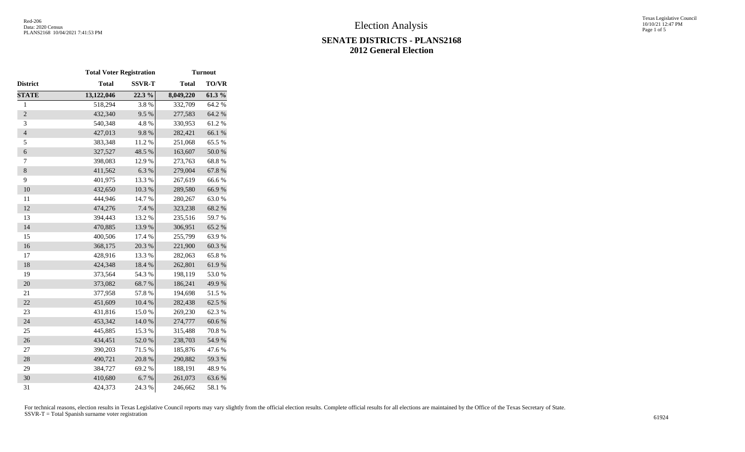# **SENATE DISTRICTS - PLANS2168 2012 General Election**

|                          | <b>Total Voter Registration</b> |               | <b>Turnout</b> |              |  |  |  |  |  |
|--------------------------|---------------------------------|---------------|----------------|--------------|--|--|--|--|--|
| District                 | <b>Total</b>                    | <b>SSVR-T</b> | <b>Total</b>   | <b>TO/VR</b> |  |  |  |  |  |
| <b>STATE</b>             | 13,122,046                      | 22.3 %        | 8,049,220      | 61.3%        |  |  |  |  |  |
| $\,1$                    | 518,294                         | 3.8%          | 332,709        | 64.2 %       |  |  |  |  |  |
| $\overline{2}$           | 432,340                         | 9.5%          | 277,583        | 64.2 %       |  |  |  |  |  |
| 3                        | 540,348                         | 4.8%          | 330,953        | 61.2%        |  |  |  |  |  |
| $\overline{\mathcal{L}}$ | 427,013                         | 9.8%          | 282,421        | 66.1%        |  |  |  |  |  |
| 5                        | 383,348                         | 11.2 %        | 251,068        | 65.5 %       |  |  |  |  |  |
| $\boldsymbol{6}$         | 327,527                         | 48.5 %        | 163,607        | $50.0$ $\%$  |  |  |  |  |  |
| 7                        | 398,083                         | 12.9%         | 273,763        | 68.8%        |  |  |  |  |  |
| $8\,$                    | 411,562                         | 6.3%          | 279,004        | 67.8%        |  |  |  |  |  |
| 9                        | 401,975                         | 13.3 %        | 267,619        | 66.6%        |  |  |  |  |  |
| 10                       | 432,650                         | $10.3~\%$     | 289,580        | 66.9%        |  |  |  |  |  |
| 11                       | 444,946                         | 14.7%         | 280,267        | 63.0%        |  |  |  |  |  |
| 12                       | 474,276                         | 7.4 %         | 323,238        | 68.2 %       |  |  |  |  |  |
| 13                       | 394,443                         | 13.2 %        | 235,516        | 59.7%        |  |  |  |  |  |
| 14                       | 470,885                         | 13.9%         | 306,951        | 65.2%        |  |  |  |  |  |
| 15                       | 400,506                         | 17.4 %        | 255,799        | 63.9%        |  |  |  |  |  |
| 16                       | 368,175                         | 20.3 %        | 221,900        | 60.3 %       |  |  |  |  |  |
| 17                       | 428,916                         | 13.3 %        | 282,063        | 65.8%        |  |  |  |  |  |
| 18                       | 424,348                         | 18.4 %        | 262,801        | 61.9%        |  |  |  |  |  |
| 19                       | 373,564                         | 54.3 %        | 198,119        | 53.0%        |  |  |  |  |  |
| 20                       | 373,082                         | 68.7%         | 186,241        | 49.9%        |  |  |  |  |  |
| 21                       | 377,958                         | 57.8 %        | 194,698        | 51.5%        |  |  |  |  |  |
| 22                       | 451,609                         | 10.4 %        | 282,438        | 62.5 %       |  |  |  |  |  |
| 23                       | 431,816                         | 15.0%         | 269,230        | 62.3%        |  |  |  |  |  |
| 24                       | 453,342                         | 14.0%         | 274,777        | 60.6%        |  |  |  |  |  |
| 25                       | 445,885                         | 15.3 %        | 315,488        | 70.8 %       |  |  |  |  |  |
| 26                       | 434,451                         | $52.0\;\%$    | 238,703        | 54.9%        |  |  |  |  |  |
| $27\,$                   | 390,203                         | 71.5 %        | 185,876        | 47.6%        |  |  |  |  |  |
| 28                       | 490,721                         | 20.8 %        | 290,882        | 59.3 %       |  |  |  |  |  |
| 29                       | 384,727                         | 69.2%         | 188,191        | 48.9%        |  |  |  |  |  |
| 30                       | 410,680                         | 6.7%          | 261,073        | 63.6%        |  |  |  |  |  |
| 31                       | 424,373                         | 24.3 %        | 246,662        | 58.1 %       |  |  |  |  |  |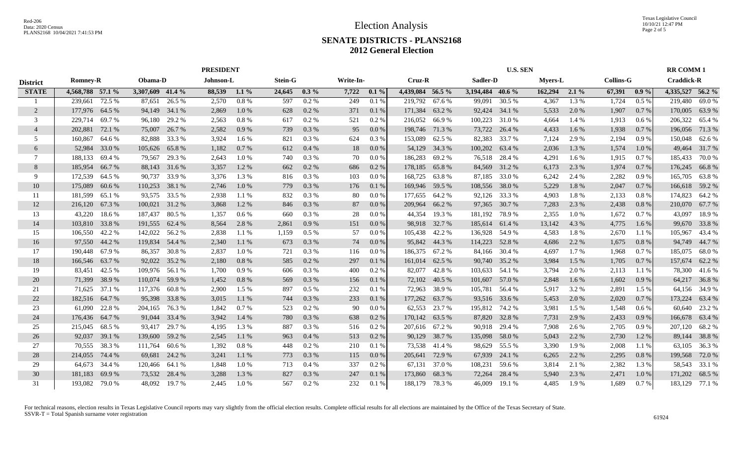### **SENATE DISTRICTS - PLANS2168 2012 General Election**

|                 |                  |        |                  |               |           |          | <b>PRESIDENT</b> |         |       |           |                  |        | <b>U.S. SEN</b>  |               |                |         |        |                  |                  | <b>RR COMM1</b>   |  |  |
|-----------------|------------------|--------|------------------|---------------|-----------|----------|------------------|---------|-------|-----------|------------------|--------|------------------|---------------|----------------|---------|--------|------------------|------------------|-------------------|--|--|
| <b>District</b> | <b>Romney-R</b>  |        | Obama-D          |               | Johnson-L |          | <b>Stein-G</b>   |         |       | Write-In- | Cruz-R           |        | Sadler-D         |               | <b>Myers-L</b> |         |        | <b>Collins-G</b> |                  | <b>Craddick-R</b> |  |  |
| <b>STATE</b>    | 4,568,788 57.1 % |        | 3,307,609 41.4 % |               | 88,539    | $1.1\%$  | 24,645           | $0.3\%$ | 7,722 | $0.1\%$   | 4,439,084 56.5 % |        | 3,194,484 40.6 % |               | 162,294        | $2.1\%$ | 67,391 | $0.9\%$          | 4,335,527 56.2 % |                   |  |  |
|                 | 239,661          | 72.5 % | 87,651           | 26.5 %        | 2,570     | $0.8\%$  | 597              | $0.2\%$ | 249   | 0.1%      | 219,792          | 67.6 % | 99,091           | 30.5 %        | 4,367          | 1.3%    | 1,724  | $0.5\%$          | 219,480          | 69.0 %            |  |  |
| 2               | 177,976          | 64.5 % |                  | 94,149 34.1 % | 2,869     | $1.0\%$  | 628              | 0.2 %   | 371   | 0.1%      | 171,384          | 63.2 % |                  | 92,424 34.1 % | 5,533          | 2.0 %   | 1,907  | 0.7%             | 170,005          | 63.9%             |  |  |
| 3               | 229,714          | 69.7 % | 96,180           | 29.2 %        | 2,563     | 0.8 %    | 617              | 0.2 %   | 521   | $0.2 \%$  | 216,052          | 66.9%  | 100,223          | 31.0 %        | 4,664          | 1.4 %   | 1,913  | 0.6%             | 206,322          | 65.4 %            |  |  |
| $\overline{4}$  | 202,881          | 72.1 % | 75,007           | 26.7 %        | 2,582     | 0.9%     | 739              | 0.3 %   | 95    | 0.0 %     | 198,746          | 71.3 % | 73,722           | 26.4 %        | 4,433          | 1.6 %   | 1,938  | 0.7%             | 196,056          | 71.3 %            |  |  |
| 5               | 160,867          | 64.6 % | 82,888           | 33.3 %        | 3,924     | 1.6 %    | 821              | 0.3%    | 624   | $0.3\%$   | 153,089          | 62.5 % | 82,383           | 33.7 %        | 7,124          | 2.9 %   | 2,194  | 0.9%             | 150,048          | 62.6 %            |  |  |
| 6               | 52,984           | 33.0 % | 105,626          | 65.8%         | 1,182     | 0.7%     | 612              | 0.4%    | 18    | 0.0 %     | 54,129           | 34.3 % | 100,202          | 63.4 %        | 2,036          | 1.3%    | 1,574  | 1.0%             | 49,464           | 31.7%             |  |  |
| 7               | 188,133          | 69.4 % | 79,567           | 29.3 %        | 2,643     | 1.0%     | 740              | 0.3%    | 70    | 0.0 %     | 186,283          | 69.2%  |                  | 76,518 28.4 % | 4,291          | 1.6 %   | 1,915  | 0.7%             | 185,433          | 70.0%             |  |  |
| 8               | 185,954          | 66.7%  |                  | 88,143 31.6 % | 3,357     | 1.2%     | 662              | 0.2 %   | 686   | 0.2 %     | 178,185          | 65.8%  |                  | 84,569 31.2 % | 6,173          | 2.3 %   | 1,974  | 0.7%             | 176,245          | 66.8%             |  |  |
| 9               | 172,539          | 64.5 % | 90,737           | 33.9%         | 3,376     | 1.3 %    | 816              | 0.3%    | 103   | 0.0 %     | 168,725          | 63.8%  |                  | 87,185 33.0 % | 6,242          | 2.4 %   | 2,282  | 0.9%             | 165,705          | 63.8%             |  |  |
| 10              | 175,089          | 60.6%  | 110,253          | 38.1 %        | 2,746     | 1.0%     | 779              | 0.3 %   | 176   | 0.1%      | 169,946          | 59.5 % | 108,556          | 38.0%         | 5,229          | 1.8%    | 2,047  | 0.7%             | 166,618          | 59.2%             |  |  |
| 11              | 181,599          | 65.1 % | 93,575           | 33.5 %        | 2,938     | 1.1 %    | 832              | $0.3\%$ | 80    | $0.0\%$   | 177,655          | 64.2%  |                  | 92,126 33.3 % | 4,903          | 1.8%    | 2,133  | 0.8 %            | 174,823          | 64.2 %            |  |  |
| 12              | 216,120          | 67.3 % | 100,021          | 31.2 %        | 3,868     | 1.2 %    | 846              | 0.3%    | 87    | 0.0 %     | 209,964          | 66.2%  | 97,365           | 30.7 %        | 7,283          | 2.3 %   | 2,438  | 0.8%             | 210,070          | 67.7 %            |  |  |
| 13              | 43,220           | 18.6%  | 187,437          | 80.5 %        | 1.357     | $0.6\%$  | 660              | 0.3%    | 28    | 0.0 %     | 44,354           | 19.3 % | 181,192          | 78.9 %        | 2,355          | 1.0%    | 1,672  | 0.7%             | 43,097           | 18.9%             |  |  |
| 14              | 103,810          | 33.8%  | 191,555          | 62.4 %        | 8,564     | 2.8%     | 2,861            | 0.9%    | 151   | 0.0 %     | 98,918           | 32.7 % | 185,614 61.4 %   |               | 13,142         | 4.3 %   | 4,775  | $1.6\%$          | 99,670           | 33.8%             |  |  |
| 15              | 106,550          | 42.2 % | 142,022          | 56.2 %        | 2,838     | 1.1%     | 1,159            | 0.5%    | 57    | 0.0 %     | 105,438          | 42.2 % | 136,928 54.9 %   |               | 4,583          | 1.8%    | 2,670  | 1.1 %            | 105,967          | 43.4 %            |  |  |
| 16              | 97,550 44.2 %    |        | 119,834          | 54.4 %        | 2,340     | 1.1%     | 673              | 0.3%    | 74    | $0.0\%$   | 95,842           | 44.3 % | 114,223          | 52.8%         | 4,686          | 2.2 %   | 1,675  | $0.8\%$          | 94,749           | 44.7 %            |  |  |
| 17              | 190,448 67.9 %   |        | 86,357           | 30.8 %        | 2,837     | $1.0\%$  | 721              | 0.3 %   | 116   | $0.0\%$   | 186,375          | 67.2%  |                  | 84,166 30.4 % | 4,697          | 1.7 %   | 1,968  | $0.7\%$          | 185,075          | 68.0%             |  |  |
| 18              | 166,546          | 63.7 % | 92,022           | 35.2 %        | 2,180     | 0.8 %    | 585              | 0.2 %   | 297   | 0.1%      | 161,014          | 62.5 % |                  | 90,740 35.2 % | 3,984          | 1.5 %   | 1,705  | 0.7%             | 157,674          | 62.2 %            |  |  |
| 19              | 83,451           | 42.5 % | 109,976 56.1 %   |               | 1,700     | 0.9%     | 606              | 0.3%    | 400   | 0.2 %     | 82,077           | 42.8%  | 103,633 54.1 %   |               | 3,794          | 2.0%    | 2,113  | 1.1%             | 78,300           | 41.6%             |  |  |
| 20              | 71,399           | 38.9%  | 110,074 59.9 %   |               | 1,452     | 0.8%     | 569              | 0.3%    | 156   | 0.1%      | 72,102           | 40.5 % | 101,607 57.0 %   |               | 2,848          | 1.6 %   | 1,602  | 0.9%             | 64,217           | 36.8%             |  |  |
| 21              | 71,625           | 37.1 % | 117,376          | 60.8 %        | 2,900     | 1.5 %    | 897              | 0.5%    | 232   | 0.1%      | 72,963           | 38.9%  | 105,781          | 56.4 %        | 5,917          | 3.2 %   | 2,891  | 1.5 %            | 64,156           | 34.9%             |  |  |
| 22              | 182,516          | 64.7 % | 95,398           | 33.8%         | 3,015     | 1.1 %    | 744              | 0.3%    | 233   | 0.1%      | 177,262          | 63.7 % |                  | 93,516 33.6 % | 5,453          | 2.0 %   | 2,020  | 0.7%             | 173,224          | 63.4 %            |  |  |
| 23              | 61,090           | 22.8%  | 204,165          | 76.3 %        | 1,842     | 0.7%     | 523              | 0.2 %   | 90    | 0.0 %     | 62,553           | 23.7 % | 195,812 74.2 %   |               | 3,981          | 1.5 %   | 1,548  | 0.6%             | 60,640           | 23.2 %            |  |  |
| 24              | 176,436          | 64.7 % | 91,044           | 33.4 %        | 3,942     | 1.4 %    | 780              | 0.3 %   | 638   | $0.2\%$   | 170,142          | 63.5 % |                  | 87,820 32.8 % | 7,731          | 2.9 %   | 2,433  | 0.9%             | 166,678          | 63.4 %            |  |  |
| 25              | 215,045          | 68.5%  | 93,417           | 29.7 %        | 4,195     | 1.3 %    | 887              | 0.3 %   | 516   | $0.2\%$   | 207,616          | 67.2 % | 90,918           | 29.4 %        | 7,908          | 2.6 %   | 2,705  | 0.9%             | 207,120          | 68.2%             |  |  |
| 26              | 92,037           | 39.1 % | 139,600          | 59.2 %        | 2,545     | 1.1%     | 963              | 0.4%    | 513   | $0.2\%$   | 90,129           | 38.7 % | 135,098          | 58.0%         | 5,043          | 2.2 %   | 2,730  | 1.2%             | 89,144           | 38.8%             |  |  |
| 27              | 70,555           | 38.3 % | 111,764          | 60.6 %        | 1,392     | $0.8 \%$ | 448              | $0.2\%$ | 210   | 0.1%      | 73,538           | 41.4 % | 98,629           | 55.5 %        | 3,390          | 1.9%    | 2,008  | 1.1 %            | 63,105           | 36.3 %            |  |  |
| 28              | 214,055          | 74.4 % | 69,681           | 24.2 %        | 3,241     | 1.1%     | 773              | 0.3 %   | 115   | 0.0 %     | 205,641          | 72.9 % | 67,939           | 24.1 %        | 6,265          | 2.2 %   | 2,295  | 0.8 %            | 199,568          | 72.0 %            |  |  |
| 29              | 64,673           | 34.4 % | 120,466 64.1 %   |               | 1,848     | $1.0\%$  | 713              | 0.4%    | 337   | $0.2\%$   | 67,131           | 37.0 % | 108,231          | 59.6 %        | 3,814          | 2.1 %   | 2,382  | 1.3%             | 58,543           | 33.1 %            |  |  |
| 30              | 181,183          | 69.9%  | 73,532           | 28.4 %        | 3,288     | 1.3 %    | 827              | 0.3%    | 247   | 0.1%      | 173,860          | 68.3%  | 72,264           | 28.4 %        | 5,940          | 2.3 %   | 2,471  | $1.0\%$          | 171,202          | 68.5 %            |  |  |
| 31              | 193,082          | 79.0%  | 48,092           | 19.7%         | 2,445     | 1.0%     | 567              | 0.2%    | 232   | 0.1%      | 188,179          | 78.3%  | 46,009           | 19.1 %        | 4,485          | 1.9%    | 1,689  | 0.7 %            | 183,129          | 77.1 %            |  |  |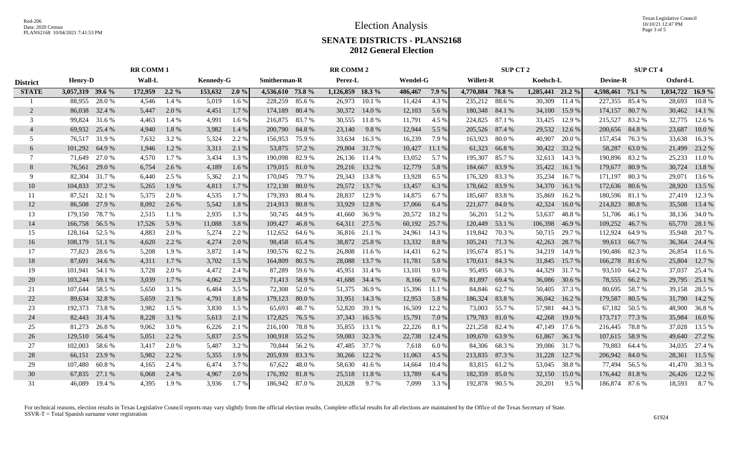Texas Legislative Council 10/10/21 12:47 PM Page 3 of 5

#### **SENATE DISTRICTS - PLANS2168 2012 General Election**

|                 | <b>RR COMM1</b>                              |        |         |         |                                            | <b>RR COMM 2</b> |                  |        |                  |               |                  |           | <b>SUP CT 2</b>  | <b>SUP CT 4</b> |                  |        |                  |               |                    |        |
|-----------------|----------------------------------------------|--------|---------|---------|--------------------------------------------|------------------|------------------|--------|------------------|---------------|------------------|-----------|------------------|-----------------|------------------|--------|------------------|---------------|--------------------|--------|
| <b>District</b> | Wall-L<br><b>Henry-D</b><br><b>Kennedy-G</b> |        |         |         | Smitherman-R<br>Perez-L<br><b>Wendel-G</b> |                  |                  |        |                  |               | <b>Willett-R</b> | Koelsch-L | <b>Devine-R</b>  |                 | Oxford-L         |        |                  |               |                    |        |
| <b>STATE</b>    | 3,057,319 39.6 %                             |        | 172,959 | $2.2\%$ | 153,632 2.0 %                              |                  | 4,536,610 73.8 % |        | 1,126,859 18.3 % |               | 486,467          | $7.9\%$   | 4,770,884 78.8 % |                 | 1,285,441 21.2 % |        | 4,598,461 75.1 % |               | $1,034,722$ 16.9 % |        |
|                 | 88,955                                       | 28.0%  | 4,546   | 1.4 %   | 5,019                                      | 1.6 %            | 228,259          | 85.6 % | 26,973           | 10.1 %        | 11,424           | 4.3 %     | 235,212          | 88.6%           | 30,309           | 11.4 % | 227,355          | 85.4 %        | 28,693             | 10.8%  |
| 2               | 86,038                                       | 32.4 % | 5,447   | 2.0 %   | 4,451                                      | 1.7 %            | 174,189          | 80.4 % |                  | 30,372 14.0 % | 12,103           | 5.6 %     | 180,348 84.1 %   |                 | 34,100           | 15.9 % | 174,157          | 80.7%         | 30,462             | 14.1 % |
| 3               | 99,824                                       | 31.6 % | 4,463   | 1.4 %   | 4.991                                      | 1.6 %            | 216,875          | 83.7 % |                  | 30,555 11.8 % | 11.791           | 4.5 %     | 224,825          | 87.1 %          | 33,425           | 12.9 % | 215,527          | 83.2%         | 32,775             | 12.6 % |
| $\overline{4}$  | 69,932                                       | 25.4 % | 4,940   | 1.8%    | 3,982                                      | 1.4 %            | 200,790          | 84.8%  | 23,140           | 9.8%          | 12,944           | 5.5 %     | 205,526 87.4 %   |                 | 29,532           | 12.6 % | 200,656 84.8 %   |               | 23,687             | 10.0%  |
| 5               | 76.517                                       | 31.9 % | 7,632   | 3.2 %   | 5.324                                      | 2.2 %            | 156,953          | 75.9 % | 33,634           | 16.3%         | 16,239           | 7.9%      | 163,923          | 80.0%           | 40,907           | 20.0 % | 157,454          | 76.3%         | 33,638             | 16.3%  |
| 6               | 101,292                                      | 64.9 % | 1,946   | 1.2%    | 3,311                                      | 2.1 %            | 53,875           | 57.2 % | 29,804           | 31.7 %        | 10,427           | 11.1 %    | 61,323           | 66.8%           | 30,422           | 33.2 % | 58,287           | 63.0%         | 21,499             | 23.2 % |
| $\tau$          | 71,649                                       | 27.0 % | 4,570   | 1.7 %   | 3.434                                      | 1.3 %            | 190,098          | 82.9%  |                  | 26,136 11.4 % | 13,052           | 5.7 %     | 195,307          | 85.7%           | 32,613           | 14.3 % | 190,896 83.2 %   |               | 25,233             | 11.0 % |
| 8               | 76,561                                       | 29.0 % | 6,754   | 2.6 %   | 4,189                                      | $1.6\%$          | 179,015 81.0 %   |        |                  | 29,216 13.2 % | 12,779           | 5.8%      | 184,667          | 83.9%           | 35,422           | 16.1%  | 179,677 80.9 %   |               | 30,724             | 13.8%  |
| 9               | 82.304 31.7 %                                |        | 6,440   | 2.5 %   | 5,362                                      | 2.1 %            | 170,045 79.7 %   |        |                  | 29,343 13.8 % | 13,928           | 6.5%      | 176,320 83.3 %   |                 | 35,234           | 16.7%  | 171,197 80.3 %   |               | 29,071             | 13.6 % |
| 10              | 104,833<br>37.2 %                            |        | 5,265   | 1.9 %   | 4,813                                      | 1.7 %            | 172,130 80.0 %   |        |                  | 29,572 13.7 % | 13,457           | 6.3%      | 178,662 83.9 %   |                 | 34,370           | 16.1 % | 172,636 80.6 %   |               | 28,920             | 13.5 % |
| 11              | 87,521                                       | 32.1 % | 5,375   | 2.0 %   | 4,535                                      | 1.7%             | 179,393          | 80.4 % | 28,837           | 12.9 %        | 14,875           | 6.7%      | 185,607          | 83.8%           | 35,869           | 16.2%  | 180,596 81.1 %   |               | 27,419             | 12.3 % |
| 12              | 86,508                                       | 27.9 % | 8,092   | 2.6 %   | 5,542                                      | 1.8%             | 214,913 80.8 %   |        | 33,929           | 12.8%         | 17,066           | 6.4%      | 221,677 84.0 %   |                 | 42,324           | 16.0%  | 214,823 80.8 %   |               | 35,508             | 13.4 % |
| 13              | 179,150                                      | 78.7 % | 2,515   | 1.1 %   | 2,935                                      | 1.3 %            | 50.745           | 44.9 % | 41,660           | 36.9%         | 20,572           | 18.2 %    | 56,201           | 51.2 %          | 53,637           | 48.8%  |                  | 51,706 46.1 % | 38,136             | 34.0 % |
| 14              | 166,758<br>56.5 %                            |        | 17,526  | 5.9%    | 11,088                                     | 3.8%             | 109,427          | 46.8%  |                  | 64,311 27.5 % | 60,192           | 25.7 %    | 120,449          | 53.1 %          | 106,398          | 46.9%  | 109,252          | 46.7%         | 65,770             | 28.1 % |
| 15              | 128,164                                      | 52.5 % | 4,883   | 2.0 %   | 5.274                                      | 2.2 %            | 112,652          | 64.6 % | 36,816           | 21.1 %        | 24,961           | 14.3 %    | 119,842 70.3 %   |                 | 50,715           | 29.7 % | 112,924          | 64.9 %        | 35,948             | 20.7 % |
| 16              | 108,179                                      | 51.1 % | 4,620   | 2.2 %   | 4,274                                      | 2.0 %            | 98,458           | 65.4 % |                  | 38,872 25.8 % | 13,332           | 8.8%      | 105,241 71.3 %   |                 | 42,263           | 28.7 % | 99,613           | 66.7 %        | 36,364             | 24.4 % |
| 17              | 77,823                                       | 28.6 % | 5,208   | 1.9%    | 3,872                                      | 1.4 %            | 190,576 82.2 %   |        | 26,808           | 11.6 %        | 14,431           | 6.2%      | 195,674 85.1 %   |                 | 34,219           | 14.9 % | 190,486 82.3 %   |               | 26,854             | 11.6 % |
| 18              | 87,691 34.6 %                                |        | 4,311   | 1.7 %   | 3,702                                      | $1.5\%$          | 164,809          | 80.5 % | 28,088           | 13.7 %        | 11,781           | 5.8 %     | 170,611 84.3 %   |                 | 31,845           | 15.7 % | 166,278 81.6 %   |               | 25,804             | 12.7 % |
| 19              | 101,941                                      | 54.1 % | 3,728   | 2.0 %   | 4,472                                      | 2.4 %            | 87,289 59.6 %    |        |                  | 45,951 31.4 % | 13,101           | 9.0%      | 95,495           | 68.3%           | 44,329           | 31.7 % |                  | 93,510 64.2 % | 37,037             | 25.4 % |
| 20              | 103,244                                      | 59.1 % | 3,039   | $1.7\%$ | 4,062                                      | 2.3 %            | 71,413 58.9 %    |        |                  | 41,688 34.4 % | 8,166            | 6.7 %     | 81,897           | 69.4 %          | 36,086           | 30.6 % |                  | 78,555 66.2 % | 29,795             | 25.1 % |
| 21              | 107,644                                      | 58.5 % | 5,650   | 3.1 %   | 6,484                                      | 3.5 %            | 72,308           | 52.0 % | 51,375           | 36.9%         | 15,396           | 11.1 %    | 84,846           | 62.7 %          | 50,405           | 37.3 % | 80,695           | 58.7 %        | 39,158             | 28.5 % |
| 22              | 89,634                                       | 32.8%  | 5,659   | 2.1 %   | 4,791                                      | 1.8%             | 179,123          | 80.0 % | 31,951           | 14.3 %        | 12,953           | 5.8 %     | 186,324 83.8 %   |                 | 36,042           | 16.2 % | 179,587          | 80.5 %        | 31,790             | 14.2 % |
| 23              | 192,373                                      | 73.8%  | 3,982   | 1.5 %   | 3,830                                      | 1.5 %            | 65,693           | 48.7 % | 52,820           | 39.1 %        | 16,509           | 12.2 %    | 73,003           | 55.7 %          | 57,981           | 44.3 % |                  | 67,182 50.5 % | 48,900             | 36.8%  |
| 24              | 82,443 31.4 %                                |        | 8,228   | 3.1 %   | 5,613                                      | 2.1 %            | 172,825          | 76.5 % |                  | 37,343 16.5 % | 15,791           | 7.0 %     | 179,783          | 81.0%           | 42,268           | 19.0 % | 173,717 77.3 %   |               | 35,984             | 16.0%  |
| 25              | 81,273                                       | 26.8%  | 9,062   | 3.0 %   | 6,226                                      | 2.1 %            | 216,100          | 78.8 % |                  | 35,855 13.1 % | 22,226           | 8.1%      | 221,258          | 82.4 %          | 47,149           | 17.6 % | 216,445          | 78.8 %        | 37,028             | 13.5 % |
| 26              | 129,510                                      | 56.4 % | 5,051   | 2.2 %   | 5,837                                      | 2.5 %            | 100,918 55.2 %   |        | 59,083           | 32.3 %        | 22,738           | 12.4 %    | 109,670          | 63.9%           | 61,867           | 36.1 % | 107,615 58.9 %   |               | 49,640             | 27.2 % |
| 27              | 102,003                                      | 58.6%  | 3,417   | 2.0 %   | 5,487                                      | 3.2 %            | 70,844 56.2 %    |        | 47,485           | 37.7 %        | 7,618            | 6.0%      |                  | 84,306 68.3 %   | 39,086           | 31.7 % | 79,883           | 64.4 %        | 34,035             | 27.4 % |
| 28              | 66,151                                       | 23.9 % | 5,982   | 2.2 %   | 5,355                                      | 1.9 %            | 205,939          | 83.3%  | 30,266           | 12.2 %        | 11,063           | 4.5 %     | 213,835          | 87.3%           | 31,228           | 12.7 % | 206,942 84.0 %   |               | 28,361             | 11.5 % |
| 29              | 107,480                                      | 60.8%  | 4,165   | 2.4 %   | 6,474                                      | 3.7 %            | 67,622           | 48.0%  | 58,630           | 41.6 %        | 14,664           | 10.4 %    | 83,815           | 61.2%           | 53,045           | 38.8%  |                  | 77,494 56.5 % | 41,470             | 30.3 % |
| 30              | 67,835                                       | 27.1 % | 6,068   | 2.4 %   | 4,967                                      | 2.0 %            | 176,392 81.8 %   |        | 25,518           | 11.8%         | 13,789           | 6.4 %     | 182,359          | 85.0%           | 32,150           | 15.0 % | 176,442 81.8 %   |               | 26,426             | 12.2 % |
| 31              | 46,089                                       | 19.4 % | 4,395   | 1.9%    | 3,936                                      | $1.7\%$          | 186,942 87.0 %   |        | 20,828           | 9.7 %         | 7,099            | 3.3 %     | 192,878 90.5 %   |                 | 20,201           | 9.5%   | 186,874 87.6 %   |               | 18,593             | 8.7%   |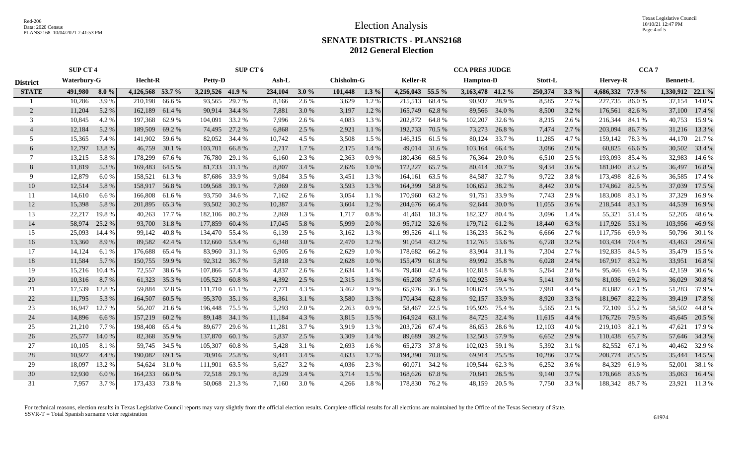Texas Legislative Council 10/10/21 12:47 PM Page 4 of 5

### **SENATE DISTRICTS - PLANS2168 2012 General Election**

|                 | <b>SUP CT 4</b> |                        |                  |        | SUP CT 6                |               |         |                                      |         |         |                  | <b>CCA PRES JUDGE</b> |                  |               |         | CCA <sub>7</sub> |                  |                  |                  |               |
|-----------------|-----------------|------------------------|------------------|--------|-------------------------|---------------|---------|--------------------------------------|---------|---------|------------------|-----------------------|------------------|---------------|---------|------------------|------------------|------------------|------------------|---------------|
| <b>District</b> |                 | Hecht-R<br>Waterbury-G |                  |        | <b>Petty-D</b><br>Ash-L |               |         | <b>Chisholm-G</b><br><b>Keller-R</b> |         |         | <b>Hampton-D</b> |                       | Stott-L          |               |         | <b>Hervey-R</b>  |                  | <b>Bennett-L</b> |                  |               |
| <b>STATE</b>    | 491,980         | $8.0\%$                | 4,126,568 53.7 % |        | 3,219,526 41.9 %        |               | 234,104 | $3.0\%$                              | 101,448 | $1.3\%$ | 4,256,043 55.5 % |                       | 3,163,478 41.2 % |               | 250,374 | $3.3\%$          | 4,686,332 77.9 % |                  | 1,330,912 22.1 % |               |
|                 | 10,286          | 3.9 %                  | 210,198          | 66.6 % | 93.565                  | 29.7 %        | 8,166   | 2.6 %                                | 3,629   | 1.2%    | 215,513          | 68.4 %                | 90,937           | 28.9%         | 8,585   | 2.7 %            | 227,735          | 86.0%            |                  | 37,154 14.0 % |
|                 | 11,204          | 5.2 %                  | 162,189          | 61.4 % | 90,914                  | 34.4 %        | 7,881   | 3.0 %                                | 3,197   | 1.2 %   | 165,749          | 62.8%                 |                  | 89,566 34.0 % | 8,500   | 3.2 %            | 176,561          | 82.6 %           | 37,100           | 17.4 %        |
| 3               | 10,845          | 4.2 %                  | 197,368          | 62.9%  | 104,091                 | 33.2 %        | 7,996   | 2.6 %                                | 4,083   | 1.3%    | 202,872          | 64.8%                 | 102,207          | 32.6 %        | 8,215   | 2.6 %            | 216,344          | 84.1 %           | 40,753           | 15.9%         |
| $\overline{4}$  | 12,184          | 5.2 %                  | 189,509          | 69.2 % | 74,495                  | 27.2 %        | 6,868   | 2.5 %                                | 2,921   | 1.1%    | 192,733          | 70.5 %                | 73,273           | 26.8%         | 7,474   | 2.7 %            | 203,094          | 86.7%            | 31,216           | 13.3 %        |
| 5               | 15,365          | 7.4 %                  | 141,902          | 59.6 % | 82,052                  | 34.4 %        | 10,742  | 4.5 %                                | 3,508   | 1.5 %   | 146,315          | 61.5%                 | 80,124           | 33.7 %        | 11,285  | 4.7 %            | 159,142          | 78.3 %           | 44,170           | 21.7 %        |
| 6               | 12,797          | 13.8 %                 | 46,759           | 30.1 % | 103,701                 | 66.8%         | 2,717   | $1.7\%$                              | 2,175   | 1.4 %   |                  | 49,014 31.6 %         | 103,164          | 66.4 %        | 3,086   | 2.0 %            | 60,825           | 66.6 %           | 30,502           | 33.4 %        |
| 7               | 13,215          | 5.8%                   | 178,299          | 67.6 % | 76,780                  | 29.1 %        | 6,160   | 2.3 %                                | 2,363   | 0.9%    | 180,436          | 68.5%                 | 76,364           | 29.0 %        | 6,510   | 2.5 %            | 193,093 85.4 %   |                  | 32,983           | 14.6 %        |
| 8               | 11,819          | 5.3 %                  | 169,483          | 64.5 % |                         | 81,733 31.1 % | 8,807   | 3.4 %                                | 2,626   | $1.0\%$ | 172,227          | 65.7%                 |                  | 80,414 30.7 % | 9,434   | 3.6 %            | 181,040 83.2 %   |                  | 36,497           | 16.8%         |
| 9               | 12,879          | 6.0%                   | 158,521          | 61.3%  | 87,686                  | 33.9 %        | 9,084   | 3.5 %                                | 3,451   | 1.3 %   | 164,161          | 63.5 %                |                  | 84,587 32.7 % | 9,722   | 3.8%             | 173,498 82.6 %   |                  |                  | 36,585 17.4 % |
| 10              | 12,514          | 5.8 %                  | 158,917          | 56.8%  | 109,568                 | 39.1 %        | 7,869   | 2.8 %                                | 3,593   | 1.3 %   | 164,399          | 58.8%                 | 106,652 38.2 %   |               | 8,442   | 3.0 %            | 174,862 82.5 %   |                  | 37,039           | 17.5 %        |
| 11              | 14,610          | 6.6 %                  | 166,808          | 61.6 % | 93,750                  | 34.6 %        | 7,162   | 2.6 %                                | 3,054   | 1.1 %   | 170,960          | 63.2%                 | 91,751           | 33.9 %        | 7,743   | 2.9 %            | 183,008          | 83.1 %           | 37,329           | 16.9%         |
| 12              | 15,398          | 5.8 %                  | 201,895          | 65.3%  | 93,502                  | 30.2 %        | 10,387  | 3.4 %                                | 3,604   | $1.2\%$ | 204,676          | 66.4 %                | 92,644           | 30.0 %        | 11,055  | 3.6 %            | 218,544 83.1 %   |                  | 44,539           | 16.9%         |
| 13              | 22,217          | 19.8%                  | 40,263           | 17.7 % | 182,106                 | 80.2%         | 2,869   | 1.3%                                 | 1,717   | 0.8%    | 41,461           | 18.3%                 | 182,327          | 80.4 %        | 3,096   | 1.4 %            |                  | 55,321 51.4 %    | 52,205           | 48.6%         |
| 14              | 58,974          | 25.2 %                 | 93,700           | 31.8%  | 177,859                 | 60.4 %        | 17,045  | 5.8 %                                | 5,999   | 2.0 %   | 95,712           | 32.6 %                | 179,712 61.2 %   |               | 18,440  | 6.3%             | 117,926 53.1 %   |                  | 103,956          | 46.9%         |
| 15              | 25,093          | 14.4 %                 | 99,142           | 40.8%  | 134,470                 | 55.4 %        | 6,139   | 2.5 %                                | 3,162   | 1.3 %   | 99,526           | 41.1 %                | 136,233          | 56.2 %        | 6,666   | 2.7 %            | 117,756 69.9 %   |                  | 50,796           | 30.1 %        |
| 16              | 13,360          | 8.9%                   | 89,582           | 42.4 % | 112,660                 | 53.4 %        | 6,348   | 3.0 %                                | 2,470   | 1.2 %   | 91,054           | 43.2 %                | 112,765          | 53.6 %        | 6,728   | 3.2 %            | 103,434          | 70.4 %           | 43,463           | 29.6 %        |
| 17              | 14,124          | 6.1 %                  | 176,688          | 65.4 % | 83,960                  | 31.1 %        | 6,905   | 2.6 %                                | 2,629   | 1.0 %   | 178,682          | 66.2%                 | 83,904           | 31.1 %        | 7,304   | 2.7 %            | 192,835          | 84.5 %           | 35,479           | 15.5 %        |
| 18              | 11,584          | 5.7 %                  | 150,755          | 59.9 % |                         | 92,312 36.7 % | 5,818   | 2.3 %                                | 2,628   | 1.0 %   | 155,479          | 61.8%                 |                  | 89,992 35.8 % | 6,028   | 2.4 %            | 167,917 83.2 %   |                  | 33,951           | 16.8%         |
| 19              | 15,216          | 10.4 %                 | 72,557           | 38.6 % | 107,866 57.4 %          |               | 4,837   | 2.6 %                                | 2.634   | 1.4 %   | 79,460           | 42.4 %                | 102,818 54.8 %   |               | 5,264   | 2.8%             |                  | 95,466 69.4 %    | 42,159           | 30.6 %        |
| 20              | 10,316          | 8.7%                   | 61,323           | 35.3 % | 105,523 60.8 %          |               | 4,392   | 2.5 %                                | 2,315   | 1.3 %   |                  | 65,208 37.6 %         | 102,925 59.4 %   |               | 5,141   | 3.0 %            |                  | 81,036 69.2 %    | 36,029           | 30.8 %        |
| 21              | 17,539          | 12.8%                  | 59,884           | 32.8%  | 111,710                 | 61.1 %        | 7,771   | 4.3 %                                | 3,462   | 1.9 %   | 65,976           | 36.1 %                | 108,674          | 59.5 %        | 7,981   | 4.4 %            | 83,887           | 62.1 %           | 51,283           | 37.9 %        |
| 22              | 11,795          | 5.3 %                  | 164,507          | 60.5 % | 95,370                  | 35.1 %        | 8,361   | 3.1 %                                | 3,580   | 1.3 %   | 170,434          | 62.8%                 | 92,157           | 33.9 %        | 8,920   | 3.3 %            | 181,967          | 82.2 %           | 39,419           | 17.8%         |
| 23              | 16,947          | 12.7 %                 | 56,207           | 21.6 % | 196,448                 | 75.5 %        | 5,293   | 2.0 %                                | 2,263   | 0.9%    | 58,467           | 22.5 %                | 195,926          | 75.4 %        | 5,565   | 2.1 %            | 72,109           | 55.2 %           | 58,502           | 44.8 %        |
| 24              | 14,896          | 6.6 $%$                | 157,219          | 60.2%  | 89,148                  | 34.1 %        | 11,184  | 4.3 %                                | 3,815   | $1.5\%$ | 164,924          | 63.1 %                | 84,725           | 32.4 %        | 11,615  | 4.4 %            | 176,726 79.5 %   |                  |                  | 45,645 20.5 % |
| 25              | 21,210          | 7.7 %                  | 198,408          | 65.4 % | 89,677                  | 29.6 %        | 11,281  | 3.7 %                                | 3,919   | 1.3 %   | 203,726          | 67.4 %                | 86,653           | 28.6 %        | 12,103  | 4.0%             | 219,103 82.1 %   |                  | 47,621           | 17.9 %        |
| 26              | 25,577          | 14.0 %                 | 82,368           | 35.9%  | 137,870                 | 60.1 %        | 5,837   | 2.5 %                                | 3,309   | 1.4 %   | 89,689           | 39.2 %                | 132,503          | 57.9 %        | 6,652   | 2.9 %            | 110,438          | 65.7 %           | 57,646           | 34.3 %        |
| 27              | 10,105          | 8.1 %                  | 59,745           | 34.5 % | 105,307                 | 60.8%         | 5,428   | 3.1 %                                | 2,693   | $1.6\%$ | 65,273           | 37.8%                 | 102,023          | 59.1 %        | 5,392   | 3.1 %            |                  | 82,552 67.1 %    | 40,462           | 32.9 %        |
| 28              | 10,927          | 4.4 %                  | 190,082          | 69.1 % | 70,916                  | 25.8 %        | 9,441   | 3.4 %                                | 4,633   | $1.7\%$ | 194,390          | 70.8%                 | 69,914           | 25.5 %        | 10,286  | 3.7 %            | 208,774 85.5 %   |                  | 35,444           | 14.5 %        |
| 29              | 18,097          | 13.2 %                 | 54,624           | 31.0 % | 111,901                 | 63.5 %        | 5,627   | 3.2 %                                | 4,036   | 2.3 %   | 60,071           | 34.2 %                | 109,544          | 62.3 %        | 6,252   | 3.6 %            |                  | 84,329 61.9%     | 52,001           | 38.1 %        |
| 30              | 12,930          | 6.0%                   | 164,233          | 66.0%  |                         | 72,518 29.1 % | 8,529   | 3.4 %                                | 3,714   | 1.5 %   | 168,626          | 67.8%                 | 70,841           | 28.5 %        | 9,140   | 3.7 %            | 178,668 83.6 %   |                  | 35,063           | 16.4 %        |
| 31              | 7,957           | 3.7 %                  | 173,433          | 73.8 % | 50,068                  | 21.3 %        | 7,160   | 3.0 %                                | 4,266   | 1.8%    | 178,830          | 76.2 %                | 48,159           | 20.5 %        | 7,750   | 3.3 %            | 188,342 88.7 %   |                  | 23,921           | 11.3 %        |